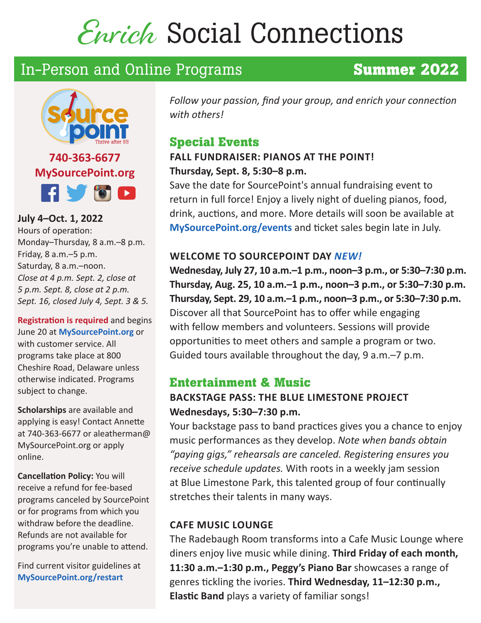# Enrich Social Connections

# In-Person and Online Programs **Summer 2022**

# **740-363-6677 MySourcePoint.org RUSC**

**July 4–Oct. 1, 2022**  Hours of operation: Monday–Thursday, 8 a.m.–8 p.m. Friday, 8 a.m.–5 p.m. Saturday, 8 a.m.–noon. *Close at 4 p.m. Sept. 2, close at 5 p.m. Sept. 8, close at 2 p.m. Sept. 16, closed July 4, Sept. 3 & 5.*

**Registration is required** and begins June 20 at **MySourcePoint.org** or with customer service. All programs take place at 800 Cheshire Road, Delaware unless otherwise indicated. Programs subject to change.

**Scholarships** are available and applying is easy! Contact Annette at 740-363-6677 or aleatherman@ MySourcePoint.org or apply online.

**Cancellation Policy:** You will receive a refund for fee-based programs canceled by SourcePoint or for programs from which you withdraw before the deadline. Refunds are not available for programs you're unable to attend.

Find current visitor guidelines at **MySourcePoint.org/restart**

*Follow your passion, find your group, and enrich your connection with others!*

# **Special Events**

# **FALL FUNDRAISER: PIANOS AT THE POINT! Thursday, Sept. 8, 5:30–8 p.m.**

Save the date for SourcePoint's annual fundraising event to return in full force! Enjoy a lively night of dueling pianos, food, drink, auctions, and more. More details will soon be available at **MySourcePoint.org/events** and ticket sales begin late in July.

# **WELCOME TO SOURCEPOINT DAY** *NEW!*

**Wednesday, July 27, 10 a.m.–1 p.m., noon–3 p.m., or 5:30–7:30 p.m. Thursday, Aug. 25, 10 a.m.–1 p.m., noon–3 p.m., or 5:30–7:30 p.m. Thursday, Sept. 29, 10 a.m.–1 p.m., noon–3 p.m., or 5:30–7:30 p.m.** Discover all that SourcePoint has to offer while engaging with fellow members and volunteers. Sessions will provide opportunities to meet others and sample a program or two. Guided tours available throughout the day, 9 a.m.–7 p.m.

# **Entertainment & Music**

# **BACKSTAGE PASS: THE BLUE LIMESTONE PROJECT Wednesdays, 5:30–7:30 p.m.**

Your backstage pass to band practices gives you a chance to enjoy music performances as they develop. *Note when bands obtain "paying gigs," rehearsals are canceled. Registering ensures you receive schedule updates.* With roots in a weekly jam session at Blue Limestone Park, this talented group of four continually stretches their talents in many ways.

#### **CAFE MUSIC LOUNGE**

The Radebaugh Room transforms into a Cafe Music Lounge where diners enjoy live music while dining. **Third Friday of each month, 11:30 a.m.–1:30 p.m., Peggy's Piano Bar** showcases a range of genres tickling the ivories. **Third Wednesday, 11–12:30 p.m., Elastic Band** plays a variety of familiar songs!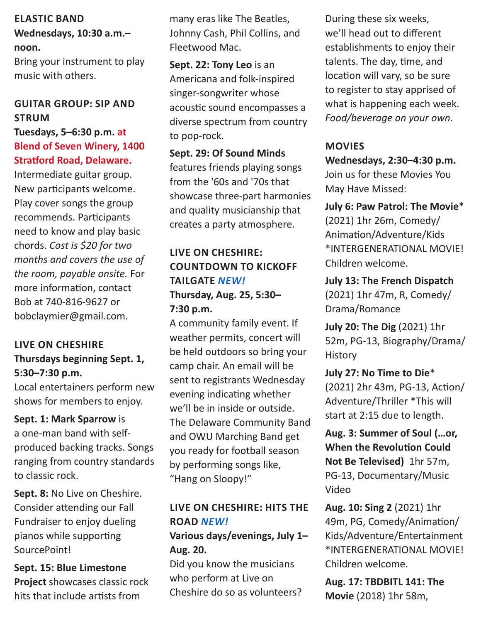#### **ELASTIC BAND**

#### **Wednesdays, 10:30 a.m.– noon.**

Bring your instrument to play music with others.

### **GUITAR GROUP: SIP AND STRUM**

#### **Tuesdays, 5–6:30 p.m. at Blend of Seven Winery, 1400 Stratford Road, Delaware.**

Intermediate guitar group. New participants welcome. Play cover songs the group recommends. Participants need to know and play basic chords. *Cost is \$20 for two months and covers the use of the room, payable onsite.* For more information, contact Bob at 740-816-9627 or bobclaymier@gmail.com.

#### **LIVE ON CHESHIRE Thursdays beginning Sept. 1, 5:30–7:30 p.m.**

Local entertainers perform new shows for members to enjoy.

#### **Sept. 1: Mark Sparrow** is

a one-man band with selfproduced backing tracks. Songs ranging from country standards to classic rock.

**Sept. 8:** No Live on Cheshire. Consider attending our Fall Fundraiser to enjoy dueling pianos while supporting SourcePoint!

**Sept. 15: Blue Limestone Project** showcases classic rock hits that include artists from

many eras like The Beatles, Johnny Cash, Phil Collins, and Fleetwood Mac.

**Sept. 22: Tony Leo** is an Americana and folk-inspired singer-songwriter whose acoustic sound encompasses a diverse spectrum from country to pop-rock.

**Sept. 29: Of Sound Minds**  features friends playing songs from the '60s and '70s that showcase three-part harmonies and quality musicianship that creates a party atmosphere.

### **LIVE ON CHESHIRE: COUNTDOWN TO KICKOFF TAILGATE** *NEW!* **Thursday, Aug. 25, 5:30– 7:30 p.m.**

A community family event. If weather permits, concert will be held outdoors so bring your camp chair. An email will be sent to registrants Wednesday evening indicating whether we'll be in inside or outside. The Delaware Community Band and OWU Marching Band get you ready for football season by performing songs like, "Hang on Sloopy!"

#### **LIVE ON CHESHIRE: HITS THE ROAD** *NEW!*

**Various days/evenings, July 1– Aug. 20.**

Did you know the musicians who perform at Live on Cheshire do so as volunteers? During these six weeks, we'll head out to different establishments to enjoy their talents. The day, time, and location will vary, so be sure to register to stay apprised of what is happening each week. *Food/beverage on your own.* 

#### **MOVIES**

**Wednesdays, 2:30–4:30 p.m.**  Join us for these Movies You May Have Missed:

**July 6: Paw Patrol: The Movie**\* (2021) 1hr 26m, Comedy/ Animation/Adventure/Kids \*INTERGENERATIONAL MOVIE! Children welcome.

**July 13: The French Dispatch**  (2021) 1hr 47m, R, Comedy/ Drama/Romance

**July 20: The Dig** (2021) 1hr 52m, PG-13, Biography/Drama/ **History** 

**July 27: No Time to Die**\* (2021) 2hr 43m, PG-13, Action/ Adventure/Thriller \*This will start at 2:15 due to length.

**Aug. 3: Summer of Soul (…or, When the Revolution Could Not Be Televised)** 1hr 57m, PG-13, Documentary/Music Video

**Aug. 10: Sing 2** (2021) 1hr 49m, PG, Comedy/Animation/ Kids/Adventure/Entertainment \*INTERGENERATIONAL MOVIE! Children welcome.

**Aug. 17: TBDBITL 141: The Movie** (2018) 1hr 58m,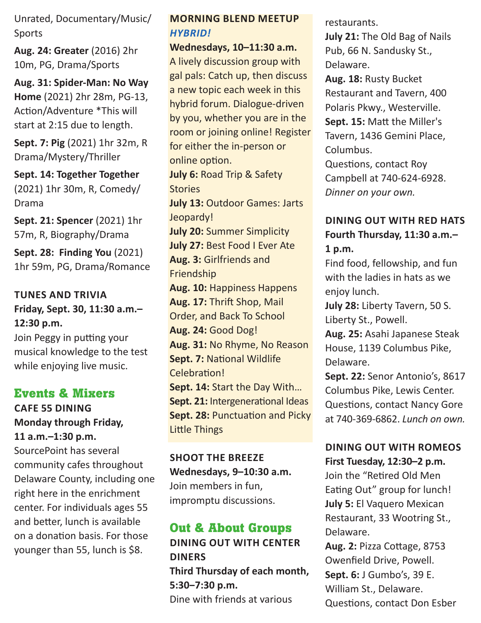Unrated, Documentary/Music/ Sports

**Aug. 24: Greater** (2016) 2hr 10m, PG, Drama/Sports

**Aug. 31: Spider-Man: No Way Home** (2021) 2hr 28m, PG-13, Action/Adventure \*This will start at 2:15 due to length.

**Sept. 7: Pig** (2021) 1hr 32m, R Drama/Mystery/Thriller

**Sept. 14: Together Together** (2021) 1hr 30m, R, Comedy/ Drama

**Sept. 21: Spencer** (2021) 1hr 57m, R, Biography/Drama

**Sept. 28: Finding You** (2021) 1hr 59m, PG, Drama/Romance

#### **TUNES AND TRIVIA Friday, Sept. 30, 11:30 a.m.– 12:30 p.m.**

Join Peggy in putting your musical knowledge to the test while enjoying live music.

# **Events & Mixers**

**CAFE 55 DINING Monday through Friday, 11 a.m.–1:30 p.m.** 

SourcePoint has several community cafes throughout Delaware County, including one right here in the enrichment center. For individuals ages 55 and better, lunch is available on a donation basis. For those younger than 55, lunch is \$8.

#### **MORNING BLEND MEETUP**  *HYBRID!*

**Wednesdays, 10–11:30 a.m.**

A lively discussion group with gal pals: Catch up, then discuss a new topic each week in this hybrid forum. Dialogue-driven by you, whether you are in the room or joining online! Register for either the in-person or online option.

**July 6:** Road Trip & Safety **Stories** 

**July 13:** Outdoor Games: Jarts Jeopardy! **July 20:** Summer Simplicity

**July 27:** Best Food I Ever Ate

**Aug. 3:** Girlfriends and Friendship **Aug. 10:** Happiness Happens **Aug. 17:** Thrift Shop, Mail Order, and Back To School

**Aug. 24:** Good Dog!

**Aug. 31:** No Rhyme, No Reason **Sept. 7:** National Wildlife Celebration!

**Sept. 14:** Start the Day With… **Sept. 21:** Intergenerational Ideas **Sept. 28: Punctuation and Picky** Little Things

**SHOOT THE BREEZE Wednesdays, 9–10:30 a.m.**  Join members in fun, impromptu discussions.

# **Out & About Groups**

**DINING OUT WITH CENTER DINERS Third Thursday of each month, 5:30‒7:30 p.m.**  Dine with friends at various

restaurants.

**July 21:** The Old Bag of Nails Pub, 66 N. Sandusky St., Delaware.

**Aug. 18:** Rusty Bucket Restaurant and Tavern, 400 Polaris Pkwy., Westerville. **Sept. 15:** Matt the Miller's Tavern, 1436 Gemini Place, Columbus.

Questions, contact Roy Campbell at 740-624-6928. *Dinner on your own.*

#### **DINING OUT WITH RED HATS Fourth Thursday, 11:30 a.m.– 1 p.m.**

Find food, fellowship, and fun with the ladies in hats as we enjoy lunch.

**July 28:** Liberty Tavern, 50 S. Liberty St., Powell.

**Aug. 25:** Asahi Japanese Steak House, 1139 Columbus Pike, Delaware.

**Sept. 22:** Senor Antonio's, 8617 Columbus Pike, Lewis Center. Questions, contact Nancy Gore at 740-369-6862. *Lunch on own.*

#### **DINING OUT WITH ROMEOS First Tuesday, 12:30–2 p.m.**

Join the "Retired Old Men Eating Out" group for lunch! **July 5:** El Vaquero Mexican Restaurant, 33 Wootring St., Delaware.

**Aug. 2:** Pizza Cottage, 8753 Owenfield Drive, Powell. **Sept. 6:** J Gumbo's, 39 E. William St., Delaware. Questions, contact Don Esber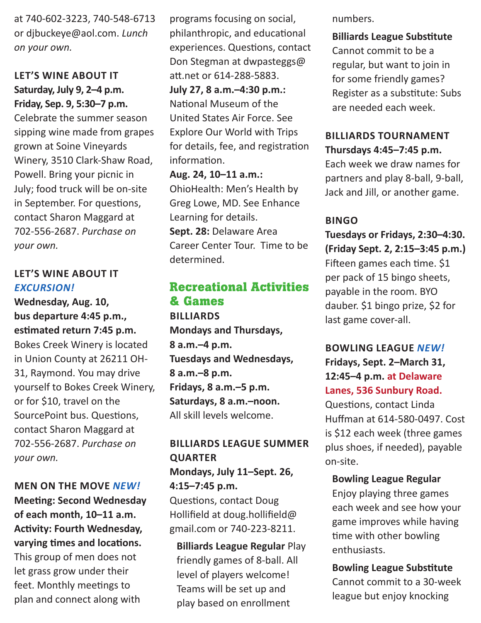at 740-602-3223, 740-548-6713 or djbuckeye@aol.com. *Lunch on your own.*

#### **LET'S WINE ABOUT IT Saturday, July 9, 2–4 p.m. Friday, Sep. 9, 5:30–7 p.m.**

Celebrate the summer season sipping wine made from grapes grown at Soine Vineyards Winery, 3510 Clark-Shaw Road, Powell. Bring your picnic in July; food truck will be on-site in September. For questions, contact Sharon Maggard at 702-556-2687. *Purchase on your own.* 

#### **LET'S WINE ABOUT IT**  *EXCURSION!*

**Wednesday, Aug. 10, bus departure 4:45 p.m., estimated return 7:45 p.m.** Bokes Creek Winery is located in Union County at 26211 OH-31, Raymond. You may drive yourself to Bokes Creek Winery, or for \$10, travel on the SourcePoint bus. Questions, contact Sharon Maggard at 702-556-2687. *Purchase on your own.* 

#### **MEN ON THE MOVE** *NEW!*

**Meeting: Second Wednesday of each month, 10–11 a.m. Activity: Fourth Wednesday, varying times and locations.** This group of men does not let grass grow under their feet. Monthly meetings to plan and connect along with

programs focusing on social, philanthropic, and educational experiences. Questions, contact Don Stegman at dwpasteggs@ att.net or 614-288-5883. **July 27, 8 a.m.–4:30 p.m.:** National Museum of the United States Air Force. See Explore Our World with Trips for details, fee, and registration information.

**Aug. 24, 10–11 a.m.:** OhioHealth: Men's Health by Greg Lowe, MD. See Enhance Learning for details. **Sept. 28:** Delaware Area

Career Center Tour. Time to be determined.

# **Recreational Activities & Games BILLIARDS Mondays and Thursdays, 8 a.m.–4 p.m. Tuesdays and Wednesdays, 8 a.m.–8 p.m. Fridays, 8 a.m.–5 p.m.**

**Saturdays, 8 a.m.–noon.** All skill levels welcome.

#### **BILLIARDS LEAGUE SUMMER QUARTER Mondays, July 11–Sept. 26, 4:15–7:45 p.m.**

Questions, contact Doug Hollifield at doug.hollifield@ gmail.com or 740-223-8211.

**Billiards League Regular** Play friendly games of 8-ball. All level of players welcome! Teams will be set up and play based on enrollment

numbers.

# **Billiards League Substitute** Cannot commit to be a regular, but want to join in for some friendly games? Register as a substitute: Subs are needed each week.

#### **BILLIARDS TOURNAMENT Thursdays 4:45–7:45 p.m.**

Each week we draw names for partners and play 8-ball, 9-ball, Jack and Jill, or another game.

#### **BINGO**

**Tuesdays or Fridays, 2:30–4:30. (Friday Sept. 2, 2:15–3:45 p.m.)**  Fifteen games each time. \$1 per pack of 15 bingo sheets, payable in the room. BYO dauber. \$1 bingo prize, \$2 for last game cover-all.

### **BOWLING LEAGUE** *NEW!* **Fridays, Sept. 2–March 31, 12:45–4 p.m. at Delaware Lanes, 536 Sunbury Road.**

Questions, contact Linda Huffman at 614-580-0497. Cost is \$12 each week (three games plus shoes, if needed), payable on-site.

#### **Bowling League Regular**

Enjoy playing three games each week and see how your game improves while having time with other bowling enthusiasts.

#### **Bowling League Substitute**

Cannot commit to a 30-week league but enjoy knocking